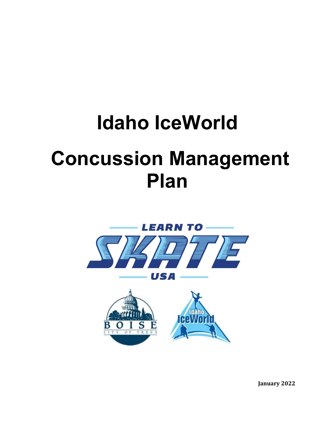# **Idaho IceWorld Concussion Management Plan**



**January 2022**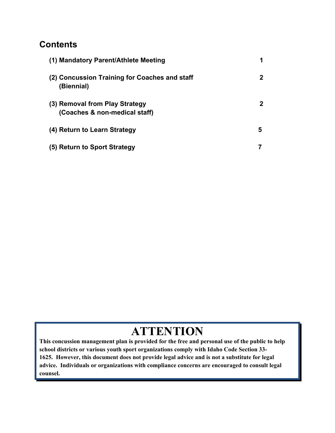### **Contents**

| (1) Mandatory Parent/Athlete Meeting                            |              |
|-----------------------------------------------------------------|--------------|
| (2) Concussion Training for Coaches and staff<br>(Biennial)     | $\mathbf{2}$ |
| (3) Removal from Play Strategy<br>(Coaches & non-medical staff) | $\mathbf{2}$ |
| (4) Return to Learn Strategy                                    | 5            |
| (5) Return to Sport Strategy                                    |              |

## **ATTENTION**

**This concussion management plan is provided for the free and personal use of the public to help school districts or various youth sport organizations comply with Idaho Code Section 33- 1625. However, this document does not provide legal advice and is not a substitute for legal advice. Individuals or organizations with compliance concerns are encouraged to consult legal counsel.**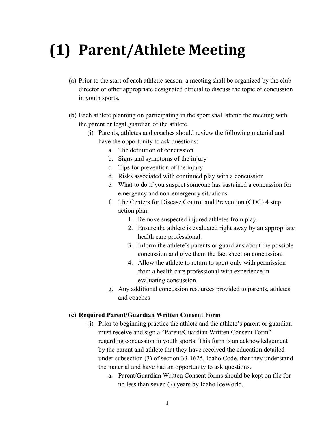## **(1) Parent/Athlete Meeting**

- (a) Prior to the start of each athletic season, a meeting shall be organized by the club director or other appropriate designated official to discuss the topic of concussion in youth sports.
- (b) Each athlete planning on participating in the sport shall attend the meeting with the parent or legal guardian of the athlete.
	- (i) Parents, athletes and coaches should review the following material and have the opportunity to ask questions:
		- a. The definition of concussion
		- b. Signs and symptoms of the injury
		- c. Tips for prevention of the injury
		- d. Risks associated with continued play with a concussion
		- e. What to do if you suspect someone has sustained a concussion for emergency and non-emergency situations
		- f. The Centers for Disease Control and Prevention (CDC) 4 step action plan:
			- 1. Remove suspected injured athletes from play.
			- 2. Ensure the athlete is evaluated right away by an appropriate health care professional.
			- 3. Inform the athlete's parents or guardians about the possible concussion and give them the fact sheet on concussion.
			- 4. Allow the athlete to return to sport only with permission from a health care professional with experience in evaluating concussion.
		- g. Any additional concussion resources provided to parents, athletes and coaches

#### **(c) Required Parent/Guardian Written Consent Form**

- (i) Prior to beginning practice the athlete and the athlete's parent or guardian must receive and sign a "Parent/Guardian Written Consent Form" regarding concussion in youth sports. This form is an acknowledgement by the parent and athlete that they have received the education detailed under subsection (3) of section 33-1625, Idaho Code, that they understand the material and have had an opportunity to ask questions.
	- a. Parent/Guardian Written Consent forms should be kept on file for no less than seven (7) years by Idaho IceWorld.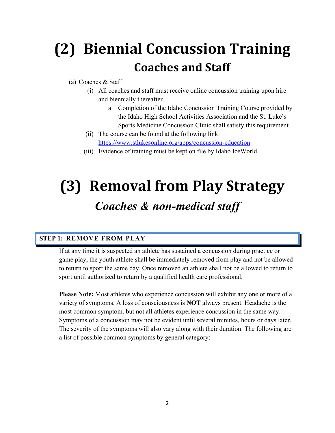## **(2) Biennial Concussion Training Coaches and Staff**

### (a) Coaches & Staff:

- (i) All coaches and staff must receive online concussion training upon hire and biennially thereafter.
	- a. Completion of the Idaho Concussion Training Course provided by the Idaho High School Activities Association and the St. Luke's Sports Medicine Concussion Clinic shall satisfy this requirement.
- (ii) The course can be found at the following link: https://www.stlukesonline.org/apps/concussion-education
- (iii) Evidence of training must be kept on file by Idaho IceWorld.

## **(3) Removal from Play Strategy** *Coaches & non-medical staff*

#### **STEP 1: REMOVE FROM PLAY**

If at any time it is suspected an athlete has sustained a concussion during practice or game play, the youth athlete shall be immediately removed from play and not be allowed to return to sport the same day. Once removed an athlete shall not be allowed to return to sport until authorized to return by a qualified health care professional.

**Please Note:** Most athletes who experience concussion will exhibit any one or more of a variety of symptoms. A loss of consciousness is **NOT** always present. Headache is the most common symptom, but not all athletes experience concussion in the same way. Symptoms of a concussion may not be evident until several minutes, hours or days later. The severity of the symptoms will also vary along with their duration. The following are a list of possible common symptoms by general category: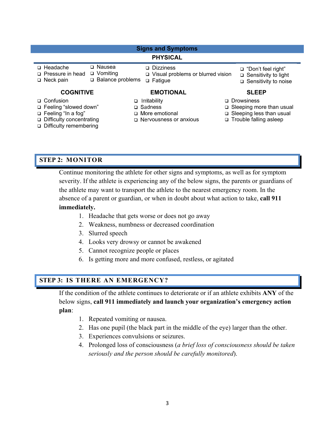| <b>Signs and Symptoms</b>                                 |                                              |                                                                           |                                                                                       |  |
|-----------------------------------------------------------|----------------------------------------------|---------------------------------------------------------------------------|---------------------------------------------------------------------------------------|--|
|                                                           |                                              |                                                                           |                                                                                       |  |
|                                                           |                                              | <b>PHYSICAL</b>                                                           |                                                                                       |  |
| $\Box$ Headache<br>□ Pressure in head<br>$\Box$ Neck pain | □ Nausea<br>□ Vomiting<br>□ Balance problems | □ Dizziness<br>$\Box$ Visual problems or blurred vision<br>$\Box$ Fatigue | ⊔ "Don't feel right"<br>$\Box$ Sensitivity to light<br>$\square$ Sensitivity to noise |  |
| <b>COGNITIVE</b>                                          |                                              | <b>EMOTIONAL</b>                                                          | <b>SLEEP</b>                                                                          |  |
| □ Confusion<br>□ Feeling "slowed down"                    | □                                            | Irritability<br>□ Sadness                                                 | □ Drowsiness<br>□ Sleeping more than usual                                            |  |
| □ Feeling "In a fog"<br>□ Difficulty concentrating        |                                              | □ More emotional<br>□ Nervousness or anxious                              | □ Sleeping less than usual<br>□ Trouble falling asleep                                |  |

### Difficulty remembering

#### **STEP 2: MONITOR**

Continue monitoring the athlete for other signs and symptoms, as well as for symptom severity. If the athlete is experiencing any of the below signs, the parents or guardians of the athlete may want to transport the athlete to the nearest emergency room. In the absence of a parent or guardian, or when in doubt about what action to take, **call 911 immediately.**

- 1. Headache that gets worse or does not go away
- 2. Weakness, numbness or decreased coordination
- 3. Slurred speech
- 4. Looks very drowsy or cannot be awakened
- 5. Cannot recognize people or places
- 6. Is getting more and more confused, restless, or agitated

### **STEP 3: IS THERE AN EMERGENCY?**

If the condition of the athlete continues to deteriorate or if an athlete exhibits **ANY** of the below signs, **call 911 immediately and launch your organization's emergency action plan**:

- 1. Repeated vomiting or nausea.
- 2. Has one pupil (the black part in the middle of the eye) larger than the other.
- 3. Experiences convulsions or seizures.
- 4. Prolonged loss of consciousness (*a brief loss of consciousness should be taken seriously and the person should be carefully monitored*).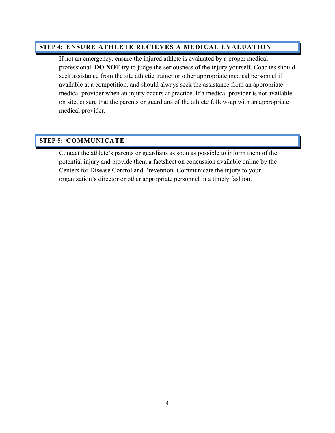### **STEP 4: ENSURE ATHLETE RECIEVES A MEDICAL EVALUATION**

If not an emergency, ensure the injured athlete is evaluated by a proper medical professional. **DO NOT** try to judge the seriousness of the injury yourself. Coaches should seek assistance from the site athletic trainer or other appropriate medical personnel if available at a competition, and should always seek the assistance from an appropriate medical provider when an injury occurs at practice. If a medical provider is not available on site, ensure that the parents or guardians of the athlete follow-up with an appropriate medical provider.

#### **STEP 5: COMMUNICATE**

Contact the athlete's parents or guardians as soon as possible to inform them of the potential injury and provide them a factsheet on concussion available online by the Centers for Disease Control and Prevention. Communicate the injury to your organization's director or other appropriate personnel in a timely fashion.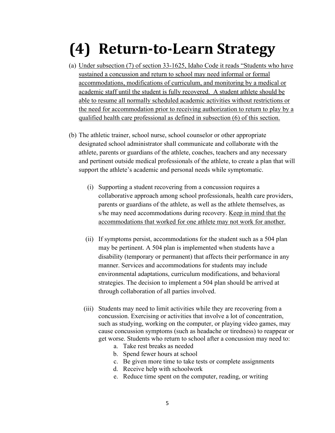## **(4) Return‐to‐Learn Strategy**

- (a) Under subsection (7) of section 33-1625, Idaho Code it reads "Students who have sustained a concussion and return to school may need informal or formal accommodations, modifications of curriculum, and monitoring by a medical or academic staff until the student is fully recovered. A student athlete should be able to resume all normally scheduled academic activities without restrictions or the need for accommodation prior to receiving authorization to return to play by a qualified health care professional as defined in subsection (6) of this section.
- (b) The athletic trainer, school nurse, school counselor or other appropriate designated school administrator shall communicate and collaborate with the athlete, parents or guardians of the athlete, coaches, teachers and any necessary and pertinent outside medical professionals of the athlete, to create a plan that will support the athlete's academic and personal needs while symptomatic.
	- (i) Supporting a student recovering from a concussion requires a collaborative approach among school professionals, health care providers, parents or guardians of the athlete, as well as the athlete themselves, as s/he may need accommodations during recovery. Keep in mind that the accommodations that worked for one athlete may not work for another.
	- (ii) If symptoms persist, accommodations for the student such as a 504 plan may be pertinent. A 504 plan is implemented when students have a disability (temporary or permanent) that affects their performance in any manner. Services and accommodations for students may include environmental adaptations, curriculum modifications, and behavioral strategies. The decision to implement a 504 plan should be arrived at through collaboration of all parties involved.
	- (iii) Students may need to limit activities while they are recovering from a concussion. Exercising or activities that involve a lot of concentration, such as studying, working on the computer, or playing video games, may cause concussion symptoms (such as headache or tiredness) to reappear or get worse. Students who return to school after a concussion may need to:
		- a. Take rest breaks as needed
		- b. Spend fewer hours at school
		- c. Be given more time to take tests or complete assignments
		- d. Receive help with schoolwork
		- e. Reduce time spent on the computer, reading, or writing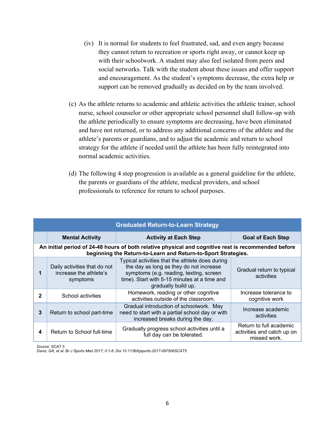- (iv) It is normal for students to feel frustrated, sad, and even angry because they cannot return to recreation or sports right away, or cannot keep up with their schoolwork. A student may also feel isolated from peers and social networks. Talk with the student about these issues and offer support and encouragement. As the student's symptoms decrease, the extra help or support can be removed gradually as decided on by the team involved.
- (c) As the athlete returns to academic and athletic activities the athletic trainer, school nurse, school counselor or other appropriate school personnel shall follow-up with the athlete periodically to ensure symptoms are decreasing, have been eliminated and have not returned, or to address any additional concerns of the athlete and the athlete's parents or guardians, and to adjust the academic and return to school strategy for the athlete if needed until the athlete has been fully reintegrated into normal academic activities.
- (d) The following 4 step progression is available as a general guideline for the athlete, the parents or guardians of the athlete, medical providers, and school professionals to reference for return to school purposes.

| <b>Graduated Return-to-Learn Strategy</b>                                                                                                                            |                                                                    |                                                                                                                                                                                                              |                                                                       |  |  |
|----------------------------------------------------------------------------------------------------------------------------------------------------------------------|--------------------------------------------------------------------|--------------------------------------------------------------------------------------------------------------------------------------------------------------------------------------------------------------|-----------------------------------------------------------------------|--|--|
|                                                                                                                                                                      | <b>Mental Activity</b>                                             | <b>Activity at Each Step</b>                                                                                                                                                                                 | <b>Goal of Each Step</b>                                              |  |  |
| An initial period of 24-48 hours of both relative physical and cognitive rest is recommended before<br>beginning the Return-to-Learn and Return-to-Sport Strategies. |                                                                    |                                                                                                                                                                                                              |                                                                       |  |  |
|                                                                                                                                                                      | Daily activities that do not<br>increase the athlete's<br>symptoms | Typical activities that the athlete does during<br>the day as long as they do not increase<br>symptoms (e.g. reading, texting, screen<br>time). Start with 5-15 minutes at a time and<br>gradually build up. | Gradual return to typical<br>activities                               |  |  |
| 2                                                                                                                                                                    | School activities                                                  | Homework, reading or other cognitive<br>activities outside of the classroom.                                                                                                                                 | Increase tolerance to<br>cognitive work                               |  |  |
| 3                                                                                                                                                                    | Return to school part-time                                         | Gradual introduction of schoolwork. May<br>need to start with a partial school day or with<br>increased breaks during the day.                                                                               | Increase academic<br>activities                                       |  |  |
| 4                                                                                                                                                                    | Return to School full-time                                         | Gradually progress school activities until a<br>full day can be tolerated.                                                                                                                                   | Return to full academic<br>activities and catch up on<br>missed work. |  |  |

*Source: SCAT 5* 

*Davis, GA, et al. Br J Sports Med 2017; 0:1-8. Doi 10.1136/bjsports-2017-097506SCAT5*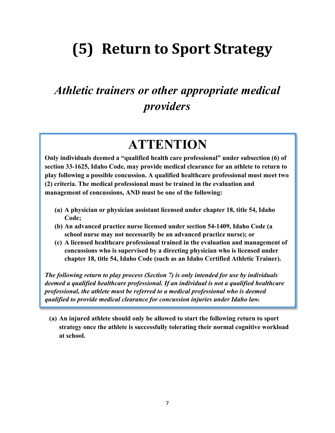## **(5) Return to Sport Strategy**

## *Athletic trainers or other appropriate medical providers*

### **ATTENTION**

**Only individuals deemed a "qualified health care professional" under subsection (6) of section 33-1625, Idaho Code, may provide medical clearance for an athlete to return to play following a possible concussion. A qualified healthcare professional must meet two (2) criteria. The medical professional must be trained in the evaluation and management of concussions, AND must be one of the following:** 

- **(a) A physician or physician assistant licensed under chapter 18, title 54, Idaho Code;**
- **(b) An advanced practice nurse licensed under section 54-1409, Idaho Code (a school nurse may not necessarily be an advanced practice nurse); or**
- **(c) A licensed healthcare professional trained in the evaluation and management of concussions who is supervised by a directing physician who is licensed under chapter 18, title 54, Idaho Code (such as an Idaho Certified Athletic Trainer).**

*The following return to play process (Section 7) is only intended for use by individuals deemed a qualified healthcare professional. If an individual is not a qualified healthcare professional, the athlete must be referred to a medical professional who is deemed qualified to provide medical clearance for concussion injuries under Idaho law.* 

**(a) An injured athlete should only be allowed to start the following return to sport strategy once the athlete is successfully tolerating their normal cognitive workload at school.**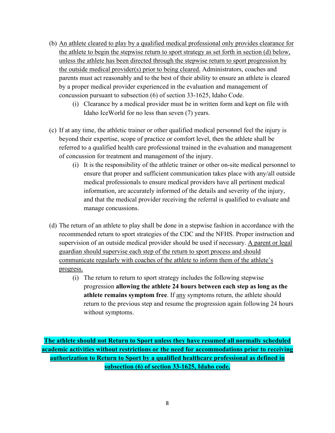- (b) An athlete cleared to play by a qualified medical professional only provides clearance for the athlete to begin the stepwise return to sport strategy as set forth in section (d) below, unless the athlete has been directed through the stepwise return to sport progression by the outside medical provider(s) prior to being cleared. Administrators, coaches and parents must act reasonably and to the best of their ability to ensure an athlete is cleared by a proper medical provider experienced in the evaluation and management of concussion pursuant to subsection (6) of section 33-1625, Idaho Code.
	- (i) Clearance by a medical provider must be in written form and kept on file with Idaho IceWorld for no less than seven (7) years.
- (c) If at any time, the athletic trainer or other qualified medical personnel feel the injury is beyond their expertise, scope of practice or comfort level, then the athlete shall be referred to a qualified health care professional trained in the evaluation and management of concussion for treatment and management of the injury.
	- (i) It is the responsibility of the athletic trainer or other on-site medical personnel to ensure that proper and sufficient communication takes place with any/all outside medical professionals to ensure medical providers have all pertinent medical information, are accurately informed of the details and severity of the injury, and that the medical provider receiving the referral is qualified to evaluate and manage concussions.
- (d) The return of an athlete to play shall be done in a stepwise fashion in accordance with the recommended return to sport strategies of the CDC and the NFHS. Proper instruction and supervision of an outside medical provider should be used if necessary. A parent or legal guardian should supervise each step of the return to sport process and should communicate regularly with coaches of the athlete to inform them of the athlete's progress.
	- (i) The return to return to sport strategy includes the following stepwise progression **allowing the athlete 24 hours between each step as long as the athlete remains symptom free**. If any symptoms return, the athlete should return to the previous step and resume the progression again following 24 hours without symptoms.

**The athlete should not Return to Sport unless they have resumed all normally scheduled academic activities without restrictions or the need for accommodations prior to receiving authorization to Return to Sport by a qualified healthcare professional as defined in subsection (6) of section 33-1625, Idaho code.**